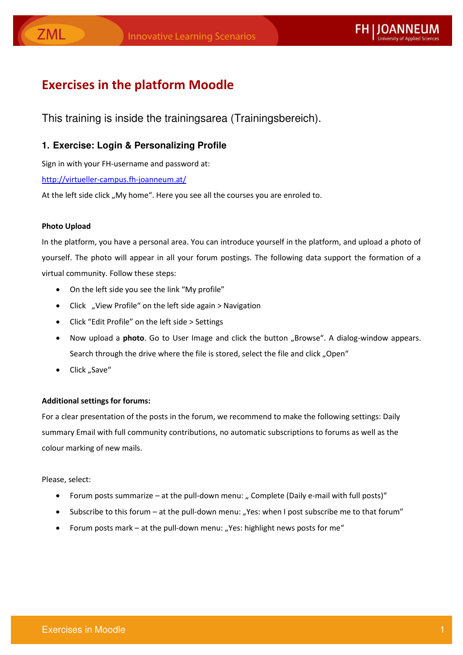## **Exercises in the platform Moodle**

This training is inside the trainingsarea (Trainingsbereich).

#### 1. Exercise: Login & Personalizing Profile

Sign in with your FH-username and password at:

http://virtueller-campus.fh-joanneum.at/

At the left side click "My home". Here you see all the courses you are enroled to.

#### **Photo Upload**

In the platform, you have a personal area. You can introduce yourself in the platform, and upload a photo of yourself. The photo will appear in all your forum postings. The following data support the formation of a virtual community. Follow these steps:

- On the left side you see the link "My profile"
- Click "View Profile" on the left side again > Navigation
- Click "Edit Profile" on the left side > Settings
- Now upload a photo. Go to User Image and click the button "Browse". A dialog-window appears. Search through the drive where the file is stored, select the file and click "Open"
- Click "Save"

#### **Additional settings for forums:**

For a clear presentation of the posts in the forum, we recommend to make the following settings: Daily summary Email with full community contributions, no automatic subscriptions to forums as well as the colour marking of new mails.

#### Please, select:

- Forum posts summarize at the pull-down menu: " Complete (Daily e-mail with full posts)"
- Subscribe to this forum at the pull-down menu: "Yes: when I post subscribe me to that forum"
- Forum posts mark at the pull-down menu: "Yes: highlight news posts for me"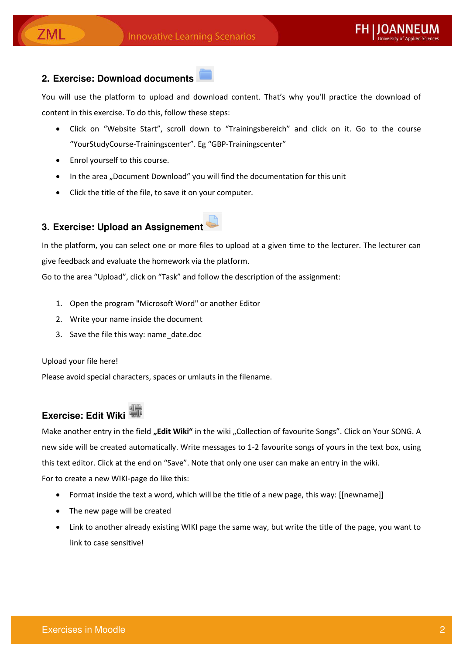#### 2. Exercise: Download documents

ZML

You will use the platform to upload and download content. That's why you'll practice the download of content in this exercise. To do this, follow these steps:

- Click on "Website Start", scroll down to "Trainingsbereich" and click on it. Go to the course "YourStudyCourse-Trainingscenter". Eg "GBP-Trainingscenter"
- Enrol yourself to this course.
- In the area "Document Download" you will find the documentation for this unit
- Click the title of the file, to save it on your computer.

#### 3. Exercise: Upload an Assignement

In the platform, you can select one or more files to upload at a given time to the lecturer. The lecturer can give feedback and evaluate the homework via the platform.

Go to the area "Upload", click on "Task" and follow the description of the assignment:

- 1. Open the program "Microsoft Word" or another Editor
- 2. Write your name inside the document
- 3. Save the file this way: name\_date.doc

Upload your file here!

Please avoid special characters, spaces or umlauts in the filename.

# Exercise: Edit Wiki

Make another entry in the field "Edit Wiki" in the wiki "Collection of favourite Songs". Click on Your SONG. A new side will be created automatically. Write messages to 1-2 favourite songs of yours in the text box, using this text editor. Click at the end on "Save". Note that only one user can make an entry in the wiki.

For to create a new WIKI-page do like this:

- Format inside the text a word, which will be the title of a new page, this way: [[newname]]
- The new page will be created
- Link to another already existing WIKI page the same way, but write the title of the page, you want to link to case sensitive!